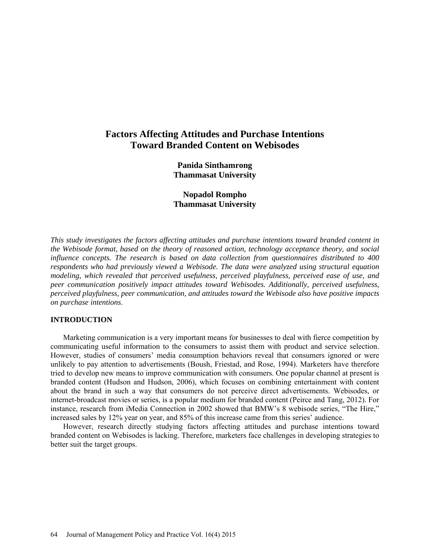# **Factors Affecting Attitudes and Purchase Intentions Toward Branded Content on Webisodes**

**Panida Sinthamrong Thammasat University**

**Nopadol Rompho Thammasat University**

*This study investigates the factors affecting attitudes and purchase intentions toward branded content in the Webisode format, based on the theory of reasoned action, technology acceptance theory, and social influence concepts. The research is based on data collection from questionnaires distributed to 400 respondents who had previously viewed a Webisode. The data were analyzed using structural equation modeling, which revealed that perceived usefulness, perceived playfulness, perceived ease of use, and peer communication positively impact attitudes toward Webisodes. Additionally, perceived usefulness, perceived playfulness, peer communication, and attitudes toward the Webisode also have positive impacts on purchase intentions*.

# **INTRODUCTION**

Marketing communication is a very important means for businesses to deal with fierce competition by communicating useful information to the consumers to assist them with product and service selection. However, studies of consumers' media consumption behaviors reveal that consumers ignored or were unlikely to pay attention to advertisements (Boush, Friestad, and Rose, 1994). Marketers have therefore tried to develop new means to improve communication with consumers. One popular channel at present is branded content (Hudson and Hudson, 2006), which focuses on combining entertainment with content about the brand in such a way that consumers do not perceive direct advertisements. Webisodes, or internet-broadcast movies or series, is a popular medium for branded content (Peirce and Tang, 2012). For instance, research from iMedia Connection in 2002 showed that BMW's 8 webisode series, "The Hire," increased sales by 12% year on year, and 85% of this increase came from this series' audience.

However, research directly studying factors affecting attitudes and purchase intentions toward branded content on Webisodes is lacking. Therefore, marketers face challenges in developing strategies to better suit the target groups.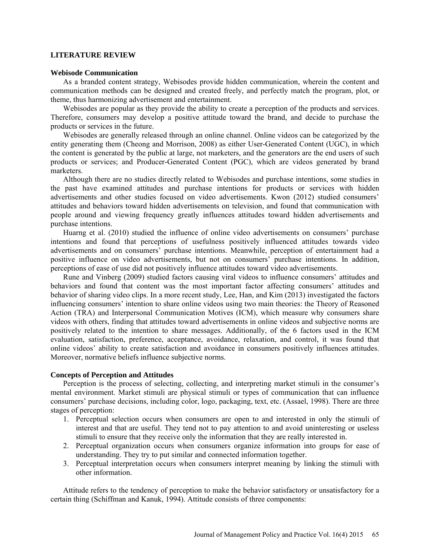## **LITERATURE REVIEW**

## **Webisode Communication**

As a branded content strategy, Webisodes provide hidden communication, wherein the content and communication methods can be designed and created freely, and perfectly match the program, plot, or theme, thus harmonizing advertisement and entertainment.

Webisodes are popular as they provide the ability to create a perception of the products and services. Therefore, consumers may develop a positive attitude toward the brand, and decide to purchase the products or services in the future.

Webisodes are generally released through an online channel. Online videos can be categorized by the entity generating them (Cheong and Morrison, 2008) as either User-Generated Content (UGC), in which the content is generated by the public at large, not marketers, and the generators are the end users of such products or services; and Producer-Generated Content (PGC), which are videos generated by brand marketers.

Although there are no studies directly related to Webisodes and purchase intentions, some studies in the past have examined attitudes and purchase intentions for products or services with hidden advertisements and other studies focused on video advertisements. Kwon (2012) studied consumers' attitudes and behaviors toward hidden advertisements on television, and found that communication with people around and viewing frequency greatly influences attitudes toward hidden advertisements and purchase intentions.

Huarng et al. (2010) studied the influence of online video advertisements on consumers' purchase intentions and found that perceptions of usefulness positively influenced attitudes towards video advertisements and on consumers' purchase intentions. Meanwhile, perception of entertainment had a positive influence on video advertisements, but not on consumers<sup>7</sup> purchase intentions. In addition, perceptions of ease of use did not positively influence attitudes toward video advertisements.

Rune and Vinberg (2009) studied factors causing viral videos to influence consumers' attitudes and behaviors and found that content was the most important factor affecting consumers' attitudes and behavior of sharing video clips. In a more recent study, Lee, Han, and Kim (2013) investigated the factors influencing consumers' intention to share online videos using two main theories: the Theory of Reasoned Action (TRA) and Interpersonal Communication Motives (ICM), which measure why consumers share videos with others, finding that attitudes toward advertisements in online videos and subjective norms are positively related to the intention to share messages. Additionally, of the 6 factors used in the ICM evaluation, satisfaction, preference, acceptance, avoidance, relaxation, and control, it was found that online videos' ability to create satisfaction and avoidance in consumers positively influences attitudes. Moreover, normative beliefs influence subjective norms.

# **Concepts of Perception and Attitudes**

Perception is the process of selecting, collecting, and interpreting market stimuli in the consumer's mental environment. Market stimuli are physical stimuli or types of communication that can influence consumers' purchase decisions, including color, logo, packaging, text, etc. (Assael, 1998). There are three stages of perception:

- 1. Perceptual selection occurs when consumers are open to and interested in only the stimuli of interest and that are useful. They tend not to pay attention to and avoid uninteresting or useless stimuli to ensure that they receive only the information that they are really interested in.
- 2. Perceptual organization occurs when consumers organize information into groups for ease of understanding. They try to put similar and connected information together.
- 3. Perceptual interpretation occurs when consumers interpret meaning by linking the stimuli with other information.

Attitude refers to the tendency of perception to make the behavior satisfactory or unsatisfactory for a certain thing (Schiffman and Kanuk, 1994). Attitude consists of three components: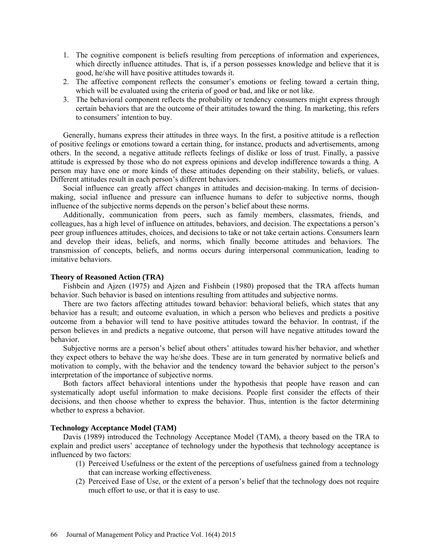- 1. The cognitive component is beliefs resulting from perceptions of information and experiences, which directly influence attitudes. That is, if a person possesses knowledge and believe that it is good, he/she will have positive attitudes towards it.
- 2. The affective component reflects the consumer's emotions or feeling toward a certain thing, which will be evaluated using the criteria of good or bad, and like or not like.
- 3. The behavioral component reflects the probability or tendency consumers might express through certain behaviors that are the outcome of their attitudes toward the thing. In marketing, this refers to consumers' intention to buy.

Generally, humans express their attitudes in three ways. In the first, a positive attitude is a reflection of positive feelings or emotions toward a certain thing, for instance, products and advertisements, among others. In the second, a negative attitude reflects feelings of dislike or loss of trust. Finally, a passive attitude is expressed by those who do not express opinions and develop indifference towards a thing. A person may have one or more kinds of these attitudes depending on their stability, beliefs, or values. Different attitudes result in each person's different behaviors.

Social influence can greatly affect changes in attitudes and decision-making. In terms of decisionmaking, social influence and pressure can influence humans to defer to subjective norms, though influence of the subjective norms depends on the person's belief about these norms.

Additionally, communication from peers, such as family members, classmates, friends, and colleagues, has a high level of influence on attitudes, behaviors, and decision. The expectations a person's peer group influences attitudes, choices, and decisions to take or not take certain actions. Consumers learn and develop their ideas, beliefs, and norms, which finally become attitudes and behaviors. The transmission of concepts, beliefs, and norms occurs during interpersonal communication, leading to imitative behaviors.

# **Theory of Reasoned Action (TRA)**

Fishbein and Ajzen (1975) and Ajzen and Fishbein (1980) proposed that the TRA affects human behavior. Such behavior is based on intentions resulting from attitudes and subjective norms.

There are two factors affecting attitudes toward behavior: behavioral beliefs, which states that any behavior has a result; and outcome evaluation, in which a person who believes and predicts a positive outcome from a behavior will tend to have positive attitudes toward the behavior. In contrast, if the person believes in and predicts a negative outcome, that person will have negative attitudes toward the behavior.

Subjective norms are a person's belief about others' attitudes toward his/her behavior, and whether they expect others to behave the way he/she does. These are in turn generated by normative beliefs and motivation to comply, with the behavior and the tendency toward the behavior subject to the person's interpretation of the importance of subjective norms.

Both factors affect behavioral intentions under the hypothesis that people have reason and can systematically adopt useful information to make decisions. People first consider the effects of their decisions, and then choose whether to express the behavior. Thus, intention is the factor determining whether to express a behavior.

## **Technology Acceptance Model (TAM)**

Davis (1989) introduced the Technology Acceptance Model (TAM), a theory based on the TRA to explain and predict users' acceptance of technology under the hypothesis that technology acceptance is influenced by two factors:

- (1) Perceived Usefulness or the extent of the perceptions of usefulness gained from a technology that can increase working effectiveness.
- (2) Perceived Ease of Use, or the extent of a person's belief that the technology does not require much effort to use, or that it is easy to use.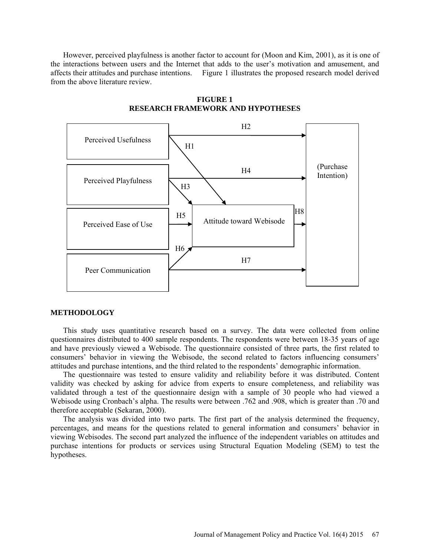However, perceived playfulness is another factor to account for (Moon and Kim, 2001), as it is one of the interactions between users and the Internet that adds to the user's motivation and amusement, and affects their attitudes and purchase intentions. Figure 1 illustrates the proposed research model derived from the above literature review.



**FIGURE 1 RESEARCH FRAMEWORK AND HYPOTHESES**

#### **METHODOLOGY**

This study uses quantitative research based on a survey. The data were collected from online questionnaires distributed to 400 sample respondents. The respondents were between 18-35 years of age and have previously viewed a Webisode. The questionnaire consisted of three parts, the first related to consumers' behavior in viewing the Webisode, the second related to factors influencing consumers' attitudes and purchase intentions, and the third related to the respondents' demographic information.

The questionnaire was tested to ensure validity and reliability before it was distributed. Content validity was checked by asking for advice from experts to ensure completeness, and reliability was validated through a test of the questionnaire design with a sample of 30 people who had viewed a Webisode using Cronbach's alpha. The results were between .762 and .908, which is greater than .70 and therefore acceptable (Sekaran, 2000).

The analysis was divided into two parts. The first part of the analysis determined the frequency, percentages, and means for the questions related to general information and consumers' behavior in viewing Webisodes. The second part analyzed the influence of the independent variables on attitudes and purchase intentions for products or services using Structural Equation Modeling (SEM) to test the hypotheses.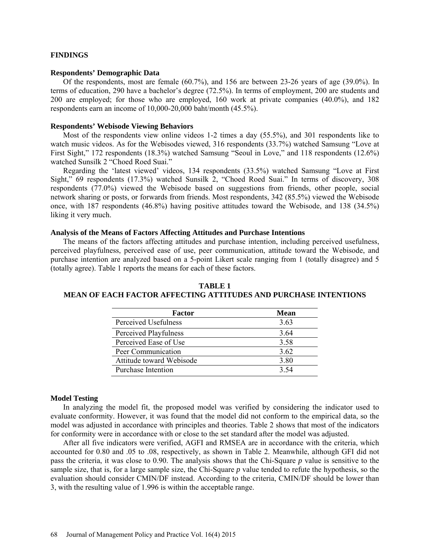# **FINDINGS**

## **Respondents' Demographic Data**

Of the respondents, most are female (60.7%), and 156 are between 23-26 years of age (39.0%). In terms of education, 290 have a bachelor's degree (72.5%). In terms of employment, 200 are students and 200 are employed; for those who are employed, 160 work at private companies (40.0%), and 182 respondents earn an income of 10,000-20,000 baht/month (45.5%).

#### **Respondents' Webisode Viewing Behaviors**

Most of the respondents view online videos 1-2 times a day (55.5%), and 301 respondents like to watch music videos. As for the Webisodes viewed, 316 respondents (33.7%) watched Samsung "Love at First Sight," 172 respondents (18.3%) watched Samsung "Seoul in Love," and 118 respondents (12.6%) watched Sunsilk 2 "Choed Roed Suai."

Regarding the 'latest viewed' videos, 134 respondents (33.5%) watched Samsung "Love at First Sight," 69 respondents (17.3%) watched Sunsilk 2, "Choed Roed Suai." In terms of discovery, 308 respondents (77.0%) viewed the Webisode based on suggestions from friends, other people, social network sharing or posts, or forwards from friends. Most respondents, 342 (85.5%) viewed the Webisode once, with 187 respondents (46.8%) having positive attitudes toward the Webisode, and 138 (34.5%) liking it very much.

## **Analysis of the Means of Factors Affecting Attitudes and Purchase Intentions**

The means of the factors affecting attitudes and purchase intention, including perceived usefulness, perceived playfulness, perceived ease of use, peer communication, attitude toward the Webisode, and purchase intention are analyzed based on a 5-point Likert scale ranging from 1 (totally disagree) and 5 (totally agree). Table 1 reports the means for each of these factors.

| Factor                    | Mean |
|---------------------------|------|
| Perceived Usefulness      | 3.63 |
| Perceived Playfulness     | 3.64 |
| Perceived Ease of Use     | 3.58 |
| Peer Communication        | 3.62 |
| Attitude toward Webisode  | 3.80 |
| <b>Purchase Intention</b> | 3.54 |

**TABLE 1 MEAN OF EACH FACTOR AFFECTING ATTITUDES AND PURCHASE INTENTIONS**

## **Model Testing**

In analyzing the model fit, the proposed model was verified by considering the indicator used to evaluate conformity. However, it was found that the model did not conform to the empirical data, so the model was adjusted in accordance with principles and theories. Table 2 shows that most of the indicators for conformity were in accordance with or close to the set standard after the model was adjusted.

After all five indicators were verified, AGFI and RMSEA are in accordance with the criteria, which accounted for 0.80 and .05 to .08, respectively, as shown in Table 2. Meanwhile, although GFI did not pass the criteria, it was close to 0.90. The analysis shows that the Chi-Square *p* value is sensitive to the sample size, that is, for a large sample size, the Chi-Square *p* value tended to refute the hypothesis, so the evaluation should consider CMIN/DF instead. According to the criteria, CMIN/DF should be lower than 3, with the resulting value of 1.996 is within the acceptable range.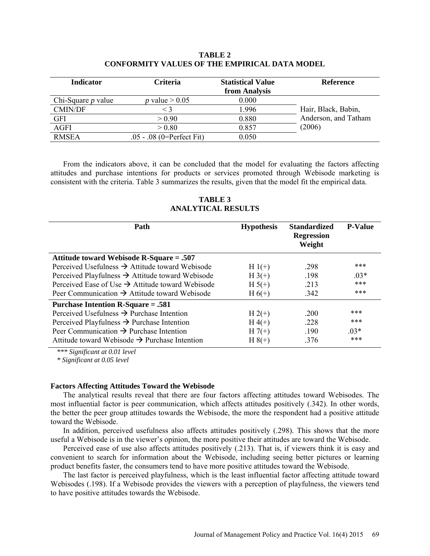# **TABLE 2 CONFORMITY VALUES OF THE EMPIRICAL DATA MODEL**

| <b>Indicator</b>     | <b>Criteria</b>             | <b>Statistical Value</b><br>from Analysis | <b>Reference</b>     |
|----------------------|-----------------------------|-------------------------------------------|----------------------|
| Chi-Square $p$ value | p value $> 0.05$            | 0.000                                     |                      |
| <b>CMIN/DF</b>       | $<$ 3                       | 1.996                                     | Hair, Black, Babin,  |
| <b>GFI</b>           | > 0.90                      | 0.880                                     | Anderson, and Tatham |
| <b>AGFI</b>          | > 0.80                      | 0.857                                     | (2006)               |
| <b>RMSEA</b>         | $.05 - .08$ (0=Perfect Fit) | 0.050                                     |                      |

From the indicators above, it can be concluded that the model for evaluating the factors affecting attitudes and purchase intentions for products or services promoted through Webisode marketing is consistent with the criteria. Table 3 summarizes the results, given that the model fit the empirical data.

**TABLE 3 ANALYTICAL RESULTS**

| Path                                                         | <b>Hypothesis</b> | <b>Standardized</b><br><b>Regression</b><br>Weight | <b>P-Value</b> |
|--------------------------------------------------------------|-------------------|----------------------------------------------------|----------------|
| Attitude toward Webisode R-Square = .507                     |                   |                                                    |                |
| Perceived Usefulness $\rightarrow$ Attitude toward Webisode  | $H_1(+)$          | .298                                               | ***            |
| Perceived Playfulness $\rightarrow$ Attitude toward Webisode | $H_3(+)$          | .198                                               | $.03*$         |
| Perceived Ease of Use $\rightarrow$ Attitude toward Webisode | $H 5(+)$          | .213                                               | ***            |
| Peer Communication $\rightarrow$ Attitude toward Webisode    | $H_6(+)$          | .342                                               | ***            |
| Purchase Intention R-Square = .581                           |                   |                                                    |                |
| Perceived Usefulness $\rightarrow$ Purchase Intention        | $H 2(+)$          | .200                                               | ***            |
| Perceived Playfulness $\rightarrow$ Purchase Intention       | $H(4(+))$         | .228                                               | ***            |
| Peer Communication $\rightarrow$ Purchase Intention          | $H7(+)$           | .190                                               | $03*$          |
| Attitude toward Webisode $\rightarrow$ Purchase Intention    | $H 8(+)$          | .376                                               | ***            |

*\*\*\* Significant at 0.01 level* 

*\* Significant at 0.05 level*

# **Factors Affecting Attitudes Toward the Webisode**

The analytical results reveal that there are four factors affecting attitudes toward Webisodes. The most influential factor is peer communication, which affects attitudes positively (.342). In other words, the better the peer group attitudes towards the Webisode, the more the respondent had a positive attitude toward the Webisode.

In addition, perceived usefulness also affects attitudes positively (.298). This shows that the more useful a Webisode is in the viewer's opinion, the more positive their attitudes are toward the Webisode.

Perceived ease of use also affects attitudes positively (.213). That is, if viewers think it is easy and convenient to search for information about the Webisode, including seeing better pictures or learning product benefits faster, the consumers tend to have more positive attitudes toward the Webisode.

The last factor is perceived playfulness, which is the least influential factor affecting attitude toward Webisodes (.198). If a Webisode provides the viewers with a perception of playfulness, the viewers tend to have positive attitudes towards the Webisode.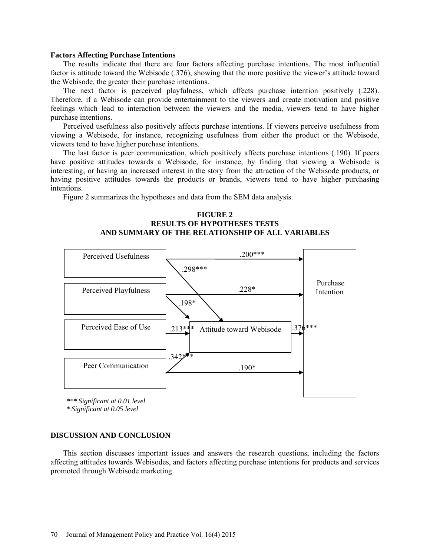#### **Factors Affecting Purchase Intentions**

The results indicate that there are four factors affecting purchase intentions. The most influential factor is attitude toward the Webisode (.376), showing that the more positive the viewer's attitude toward the Webisode, the greater their purchase intentions.

The next factor is perceived playfulness, which affects purchase intention positively (.228). Therefore, if a Webisode can provide entertainment to the viewers and create motivation and positive feelings which lead to interaction between the viewers and the media, viewers tend to have higher purchase intentions.

Perceived usefulness also positively affects purchase intentions. If viewers perceive usefulness from viewing a Webisode, for instance, recognizing usefulness from either the product or the Webisode, viewers tend to have higher purchase intentions.

The last factor is peer communication, which positively affects purchase intentions (.190). If peers have positive attitudes towards a Webisode, for instance, by finding that viewing a Webisode is interesting, or having an increased interest in the story from the attraction of the Webisode products, or having positive attitudes towards the products or brands, viewers tend to have higher purchasing intentions.

Figure 2 summarizes the hypotheses and data from the SEM data analysis.



*\*\*\* Significant at 0.01 level*

*\* Significant at 0.05 level*

#### **DISCUSSION AND CONCLUSION**

This section discusses important issues and answers the research questions, including the factors affecting attitudes towards Webisodes, and factors affecting purchase intentions for products and services promoted through Webisode marketing.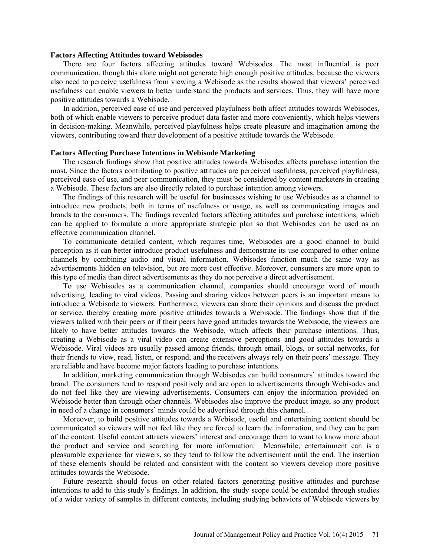## **Factors Affecting Attitudes toward Webisodes**

There are four factors affecting attitudes toward Webisodes. The most influential is peer communication, though this alone might not generate high enough positive attitudes, because the viewers also need to perceive usefulness from viewing a Webisode as the results showed that viewers' perceived usefulness can enable viewers to better understand the products and services. Thus, they will have more positive attitudes towards a Webisode.

In addition, perceived ease of use and perceived playfulness both affect attitudes towards Webisodes, both of which enable viewers to perceive product data faster and more conveniently, which helps viewers in decision-making. Meanwhile, perceived playfulness helps create pleasure and imagination among the viewers, contributing toward their development of a positive attitude towards the Webisode.

## **Factors Affecting Purchase Intentions in Webisode Marketing**

The research findings show that positive attitudes towards Webisodes affects purchase intention the most. Since the factors contributing to positive attitudes are perceived usefulness, perceived playfulness, perceived ease of use, and peer communication, they must be considered by content marketers in creating a Webisode. These factors are also directly related to purchase intention among viewers.

The findings of this research will be useful for businesses wishing to use Webisodes as a channel to introduce new products, both in terms of usefulness or usage, as well as communicating images and brands to the consumers. The findings revealed factors affecting attitudes and purchase intentions, which can be applied to formulate a more appropriate strategic plan so that Webisodes can be used as an effective communication channel.

To communicate detailed content, which requires time, Webisodes are a good channel to build perception as it can better introduce product usefulness and demonstrate its use compared to other online channels by combining audio and visual information. Webisodes function much the same way as advertisements hidden on television, but are more cost effective. Moreover, consumers are more open to this type of media than direct advertisements as they do not perceive a direct advertisement.

To use Webisodes as a communication channel, companies should encourage word of mouth advertising, leading to viral videos. Passing and sharing videos between peers is an important means to introduce a Webisode to viewers. Furthermore, viewers can share their opinions and discuss the product or service, thereby creating more positive attitudes towards a Webisode. The findings show that if the viewers talked with their peers or if their peers have good attitudes towards the Webisode, the viewers are likely to have better attitudes towards the Webisode, which affects their purchase intentions. Thus, creating a Webisode as a viral video can create extensive perceptions and good attitudes towards a Webisode. Viral videos are usually passed among friends, through email, blogs, or social networks, for their friends to view, read, listen, or respond, and the receivers always rely on their peers' message. They are reliable and have become major factors leading to purchase intentions.

In addition, marketing communication through Webisodes can build consumers' attitudes toward the brand. The consumers tend to respond positively and are open to advertisements through Webisodes and do not feel like they are viewing advertisements. Consumers can enjoy the information provided on Webisode better than through other channels. Webisodes also improve the product image, so any product in need of a change in consumers' minds could be advertised through this channel.

Moreover, to build positive attitudes towards a Webisode, useful and entertaining content should be communicated so viewers will not feel like they are forced to learn the information, and they can be part of the content. Useful content attracts viewers' interest and encourage them to want to know more about the product and service and searching for more information. Meanwhile, entertainment can is a pleasurable experience for viewers, so they tend to follow the advertisement until the end. The insertion of these elements should be related and consistent with the content so viewers develop more positive attitudes towards the Webisode.

Future research should focus on other related factors generating positive attitudes and purchase intentions to add to this study's findings. In addition, the study scope could be extended through studies of a wider variety of samples in different contexts, including studying behaviors of Webisode viewers by